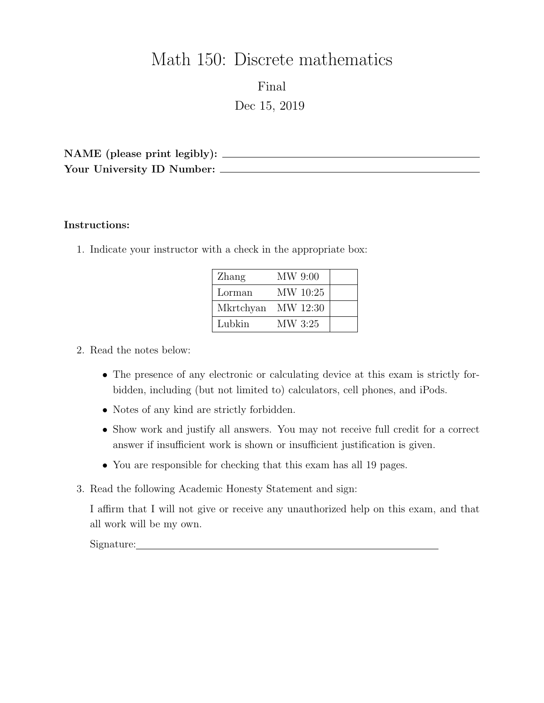# Math 150: Discrete mathematics

Final Dec 15, 2019

NAME (please print legibly): Your University ID Number:

#### Instructions:

1. Indicate your instructor with a check in the appropriate box:

| Zhang              | MW 9:00  |  |
|--------------------|----------|--|
| Lorman             | MW 10:25 |  |
| Mkrtchyan MW 12:30 |          |  |
| Lubkin             | MW 3:25  |  |

## 2. Read the notes below:

- The presence of any electronic or calculating device at this exam is strictly forbidden, including (but not limited to) calculators, cell phones, and iPods.
- Notes of any kind are strictly forbidden.
- Show work and justify all answers. You may not receive full credit for a correct answer if insufficient work is shown or insufficient justification is given.
- You are responsible for checking that this exam has all 19 pages.
- 3. Read the following Academic Honesty Statement and sign:

I affirm that I will not give or receive any unauthorized help on this exam, and that all work will be my own.

Signature: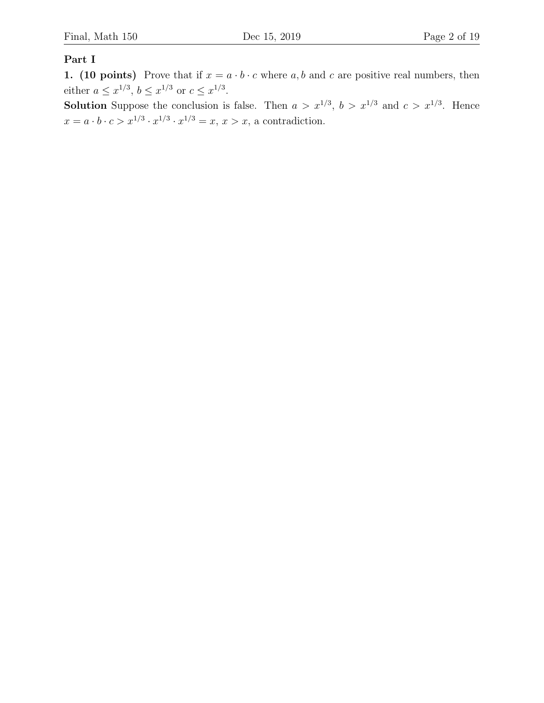## Part I

1. (10 points) Prove that if  $x = a \cdot b \cdot c$  where  $a, b$  and c are positive real numbers, then either  $a \leq x^{1/3}, b \leq x^{1/3}$  or  $c \leq x^{1/3}$ .

**Solution** Suppose the conclusion is false. Then  $a > x^{1/3}$ ,  $b > x^{1/3}$  and  $c > x^{1/3}$ . Hence  $x = a \cdot b \cdot c > x^{1/3} \cdot x^{1/3} \cdot x^{1/3} = x, x > x$ , a contradiction.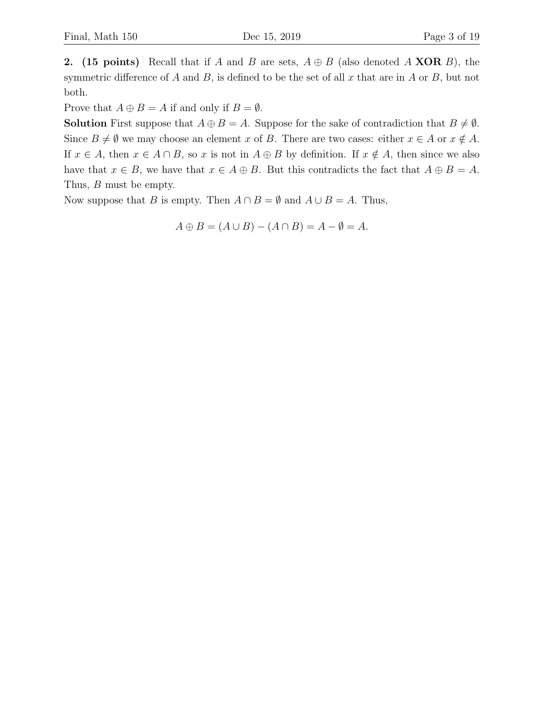2. (15 points) Recall that if A and B are sets,  $A \oplus B$  (also denoted A XOR B), the symmetric difference of A and B, is defined to be the set of all x that are in A or B, but not both.

Prove that  $A \oplus B = A$  if and only if  $B = \emptyset$ .

**Solution** First suppose that  $A \oplus B = A$ . Suppose for the sake of contradiction that  $B \neq \emptyset$ . Since  $B \neq \emptyset$  we may choose an element x of B. There are two cases: either  $x \in A$  or  $x \notin A$ . If  $x \in A$ , then  $x \in A \cap B$ , so x is not in  $A \oplus B$  by definition. If  $x \notin A$ , then since we also have that  $x \in B$ , we have that  $x \in A \oplus B$ . But this contradicts the fact that  $A \oplus B = A$ . Thus, B must be empty.

Now suppose that B is empty. Then  $A \cap B = \emptyset$  and  $A \cup B = A$ . Thus,

$$
A \oplus B = (A \cup B) - (A \cap B) = A - \emptyset = A.
$$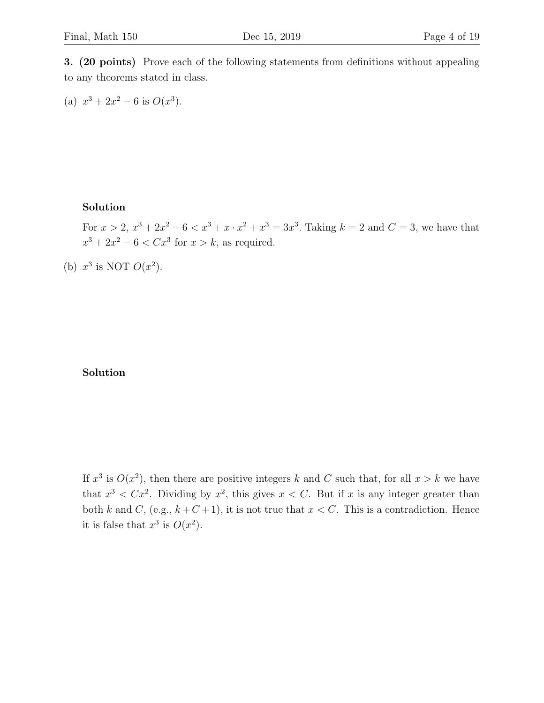3. (20 points) Prove each of the following statements from definitions without appealing to any theorems stated in class.

(a) 
$$
x^3 + 2x^2 - 6
$$
 is  $O(x^3)$ .

#### Solution

For  $x > 2$ ,  $x^3 + 2x^2 - 6 < x^3 + x \cdot x^2 + x^3 = 3x^3$ . Taking  $k = 2$  and  $C = 3$ , we have that  $x^3 + 2x^2 - 6 < Cx^3$  for  $x > k$ , as required.

(b)  $x^3$  is NOT  $O(x^2)$ .

#### Solution

If  $x^3$  is  $O(x^2)$ , then there are positive integers k and C such that, for all  $x > k$  we have that  $x^3 < Cx^2$ . Dividing by  $x^2$ , this gives  $x < C$ . But if x is any integer greater than both k and C, (e.g.,  $k + C + 1$ ), it is not true that  $x < C$ . This is a contradiction. Hence it is false that  $x^3$  is  $O(x^2)$ .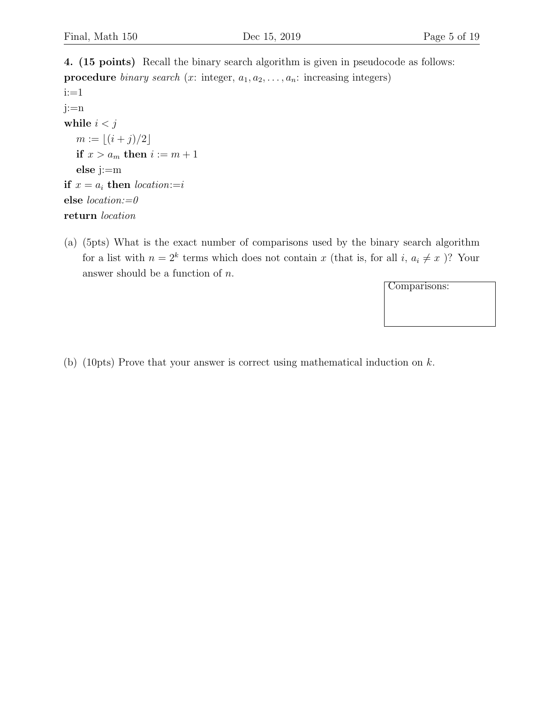4. (15 points) Recall the binary search algorithm is given in pseudocode as follows: **procedure** binary search (x: integer,  $a_1, a_2, \ldots, a_n$ : increasing integers) i:=1 j:=n while  $i < j$  $m := \lfloor (i + j)/2 \rfloor$ if  $x > a_m$  then  $i := m + 1$ else j:=m if  $x = a_i$  then location:=i else location:=0 return location

(a) (5pts) What is the exact number of comparisons used by the binary search algorithm for a list with  $n = 2^k$  terms which does not contain x (that is, for all i,  $a_i \neq x$ )? Your answer should be a function of  $n$ .

Comparisons:

(b) (10pts) Prove that your answer is correct using mathematical induction on k.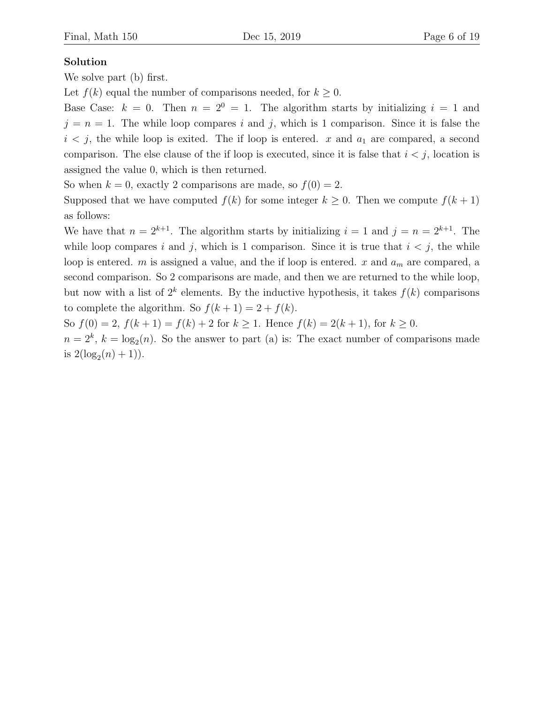#### Solution

We solve part (b) first.

Let  $f(k)$  equal the number of comparisons needed, for  $k \geq 0$ .

Base Case:  $k = 0$ . Then  $n = 2^0 = 1$ . The algorithm starts by initializing  $i = 1$  and  $j = n = 1$ . The while loop compares i and j, which is 1 comparison. Since it is false the  $i < j$ , the while loop is exited. The if loop is entered. x and  $a_1$  are compared, a second comparison. The else clause of the if loop is executed, since it is false that  $i < j$ , location is assigned the value 0, which is then returned.

So when  $k = 0$ , exactly 2 comparisons are made, so  $f(0) = 2$ .

Supposed that we have computed  $f(k)$  for some integer  $k \geq 0$ . Then we compute  $f(k+1)$ as follows:

We have that  $n = 2^{k+1}$ . The algorithm starts by initializing  $i = 1$  and  $j = n = 2^{k+1}$ . The while loop compares i and j, which is 1 comparison. Since it is true that  $i < j$ , the while loop is entered. m is assigned a value, and the if loop is entered. x and  $a_m$  are compared, a second comparison. So 2 comparisons are made, and then we are returned to the while loop, but now with a list of  $2^k$  elements. By the inductive hypothesis, it takes  $f(k)$  comparisons to complete the algorithm. So  $f(k+1) = 2 + f(k)$ .

So  $f(0) = 2$ ,  $f(k+1) = f(k) + 2$  for  $k \ge 1$ . Hence  $f(k) = 2(k+1)$ , for  $k \ge 0$ .

 $n = 2<sup>k</sup>$ ,  $k = \log_2(n)$ . So the answer to part (a) is: The exact number of comparisons made is  $2(\log_2(n) + 1)$ .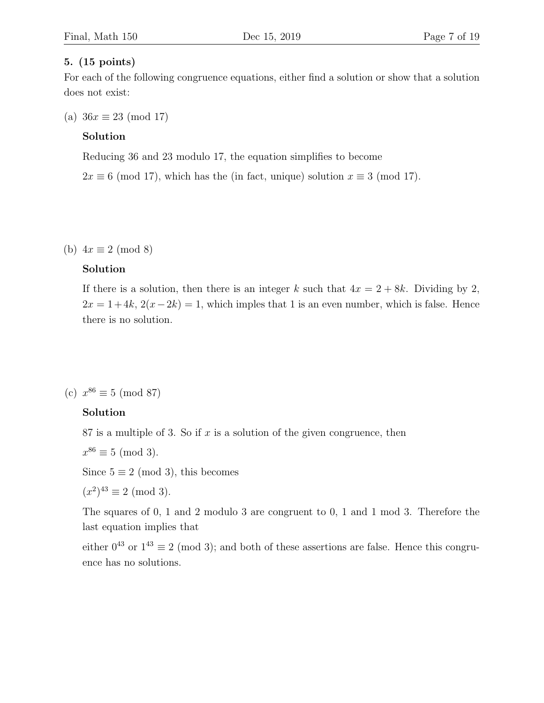#### 5. (15 points)

For each of the following congruence equations, either find a solution or show that a solution does not exist:

(a)  $36x \equiv 23 \pmod{17}$ 

#### Solution

Reducing 36 and 23 modulo 17, the equation simplifies to become

 $2x \equiv 6 \pmod{17}$ , which has the (in fact, unique) solution  $x \equiv 3 \pmod{17}$ .

(b)  $4x \equiv 2 \pmod{8}$ 

#### Solution

If there is a solution, then there is an integer k such that  $4x = 2 + 8k$ . Dividing by 2,  $2x = 1 + 4k$ ,  $2(x-2k) = 1$ , which imples that 1 is an even number, which is false. Hence there is no solution.

(c)  $x^{86} \equiv 5 \pmod{87}$ 

### Solution

87 is a multiple of 3. So if  $x$  is a solution of the given congruence, then

$$
x^{86} \equiv 5 \pmod{3}.
$$

Since  $5 \equiv 2 \pmod{3}$ , this becomes

$$
(x^2)^{43} \equiv 2 \pmod{3}.
$$

The squares of 0, 1 and 2 modulo 3 are congruent to 0, 1 and 1 mod 3. Therefore the last equation implies that

either  $0^{43}$  or  $1^{43} \equiv 2 \pmod{3}$ ; and both of these assertions are false. Hence this congruence has no solutions.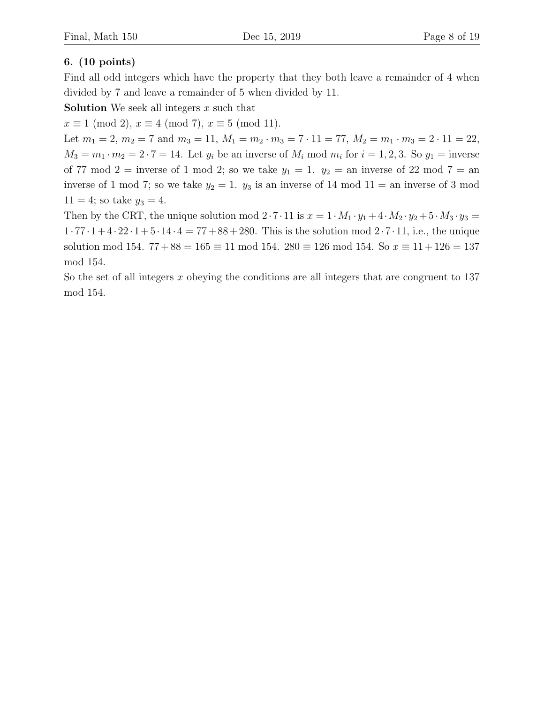## 6. (10 points)

Find all odd integers which have the property that they both leave a remainder of 4 when divided by 7 and leave a remainder of 5 when divided by 11.

**Solution** We seek all integers  $x$  such that

 $x \equiv 1 \pmod{2}$ ,  $x \equiv 4 \pmod{7}$ ,  $x \equiv 5 \pmod{11}$ .

Let  $m_1 = 2$ ,  $m_2 = 7$  and  $m_3 = 11$ ,  $M_1 = m_2 \cdot m_3 = 7 \cdot 11 = 77$ ,  $M_2 = m_1 \cdot m_3 = 2 \cdot 11 = 22$ ,  $M_3 = m_1 \cdot m_2 = 2 \cdot 7 = 14$ . Let  $y_i$  be an inverse of  $M_i$  mod  $m_i$  for  $i = 1, 2, 3$ . So  $y_1 =$  inverse of 77 mod 2 = inverse of 1 mod 2; so we take  $y_1 = 1$ .  $y_2 =$  an inverse of 22 mod 7 = an inverse of 1 mod 7; so we take  $y_2 = 1$ .  $y_3$  is an inverse of 14 mod 11 = an inverse of 3 mod  $11 = 4$ ; so take  $y_3 = 4$ .

Then by the CRT, the unique solution mod  $2 \cdot 7 \cdot 11$  is  $x = 1 \cdot M_1 \cdot y_1 + 4 \cdot M_2 \cdot y_2 + 5 \cdot M_3 \cdot y_3 =$  $1 \cdot 77 \cdot 1 + 4 \cdot 22 \cdot 1 + 5 \cdot 14 \cdot 4 = 77 + 88 + 280$ . This is the solution mod  $2 \cdot 7 \cdot 11$ , i.e., the unique solution mod 154.  $77 + 88 = 165 \equiv 11 \mod 154$ .  $280 \equiv 126 \mod 154$ . So  $x \equiv 11 + 126 = 137$ mod 154.

So the set of all integers  $x$  obeying the conditions are all integers that are congruent to 137 mod 154.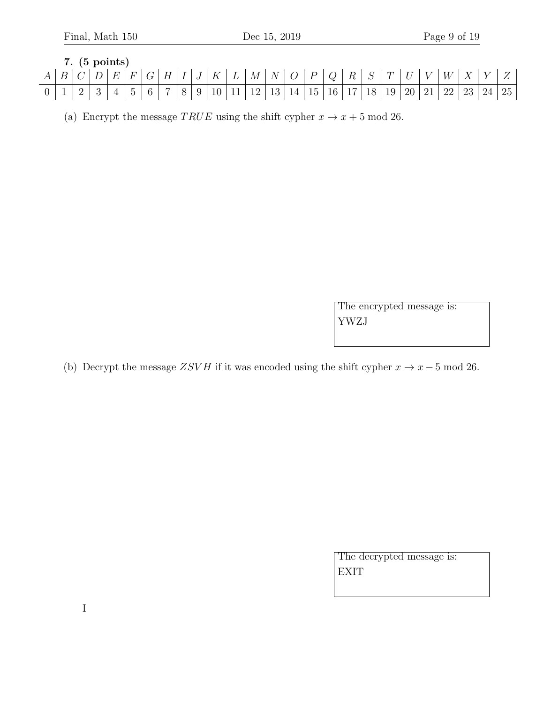7. (5 points)  
\n
$$
A \mid B \mid C \mid D \mid E \mid F \mid G \mid H \mid I \mid J \mid K \mid L \mid M \mid N \mid O \mid P \mid Q \mid R \mid S \mid T \mid U \mid V \mid W \mid X \mid Y \mid Z
$$
  
\n0 1 2 3 4 5 6 7 8 9 10 11 12 13 14 15 16 17 18 19 20 21 22 23 24 25

(a) Encrypt the message TRUE using the shift cypher  $x \to x + 5 \text{ mod } 26$ .

The encrypted message is: YWZJ

(b) Decrypt the message  $ZSVH$  if it was encoded using the shift cypher  $x \to x-5 \mod 26$ .

The decrypted message is: EXIT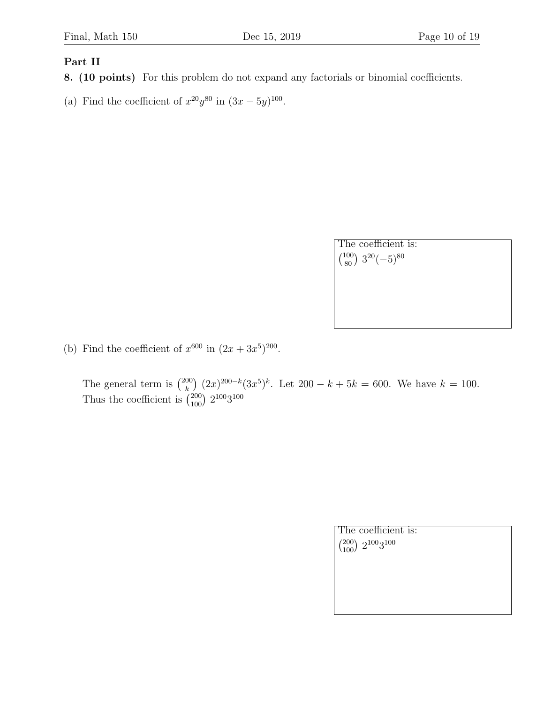#### Part II

- 8. (10 points) For this problem do not expand any factorials or binomial coefficients.
- (a) Find the coefficient of  $x^{20}y^{80}$  in  $(3x-5y)^{100}$ .

| The coefficient is:                           |  |
|-----------------------------------------------|--|
| $\binom{100}{80}$ 3 <sup>20</sup> $(-5)^{80}$ |  |
|                                               |  |
|                                               |  |
|                                               |  |

(b) Find the coefficient of  $x^{600}$  in  $(2x + 3x^5)^{200}$ .

The general term is  $\binom{200}{k}$  $(k)$   $(2x)^{200-k}(3x^5)^k$ . Let  $200-k+5k=600$ . We have  $k=100$ . Thus the coefficient is  $\binom{200}{100} 2^{100}3^{100}$ 

| The coefficient is:                 |  |
|-------------------------------------|--|
| $\binom{200}{100}$ $2^{100}3^{100}$ |  |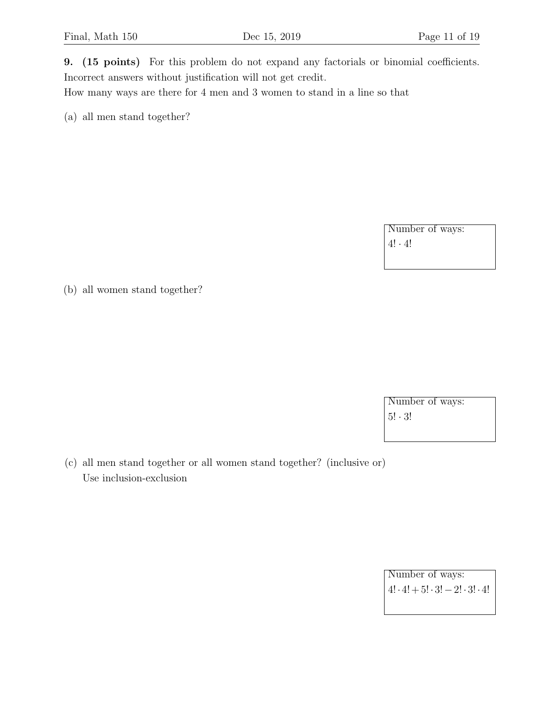9. (15 points) For this problem do not expand any factorials or binomial coefficients. Incorrect answers without justification will not get credit.

How many ways are there for 4 men and 3 women to stand in a line so that

(a) all men stand together?

Number of ways:  $4! \cdot 4!$ 

(b) all women stand together?

Number of ways: 5! · 3!

(c) all men stand together or all women stand together? (inclusive or) Use inclusion-exclusion

> Number of ways:  $4! \cdot 4! + 5! \cdot 3! - 2! \cdot 3! \cdot 4!$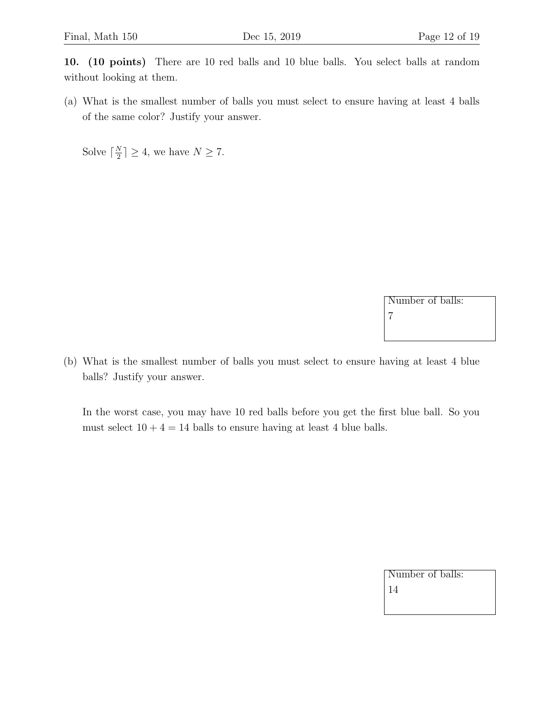10. (10 points) There are 10 red balls and 10 blue balls. You select balls at random without looking at them.

(a) What is the smallest number of balls you must select to ensure having at least 4 balls of the same color? Justify your answer.

Solve  $\lceil \frac{N}{2} \rceil$  $\frac{N}{2}$   $\geq$  4, we have  $N \geq 7$ .

> Number of balls: 7

(b) What is the smallest number of balls you must select to ensure having at least 4 blue balls? Justify your answer.

In the worst case, you may have 10 red balls before you get the first blue ball. So you must select  $10 + 4 = 14$  balls to ensure having at least 4 blue balls.

| Number of balls: |  |
|------------------|--|
| 14               |  |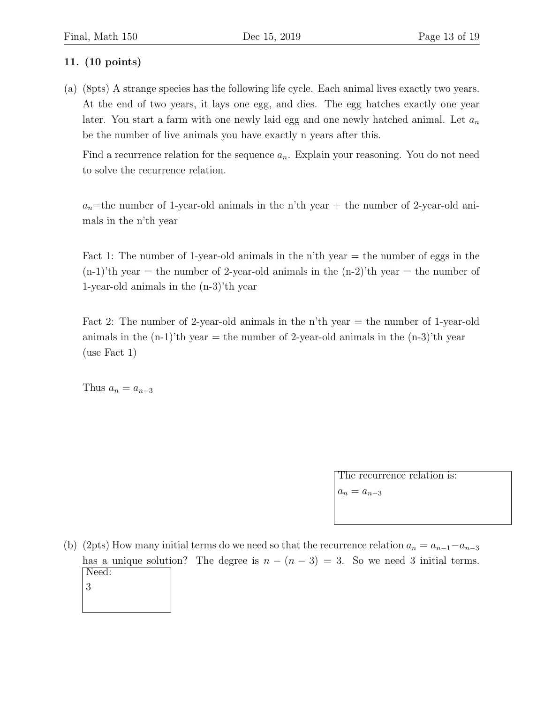## 11. (10 points)

(a) (8pts) A strange species has the following life cycle. Each animal lives exactly two years. At the end of two years, it lays one egg, and dies. The egg hatches exactly one year later. You start a farm with one newly laid egg and one newly hatched animal. Let  $a_n$ be the number of live animals you have exactly n years after this.

Find a recurrence relation for the sequence  $a_n$ . Explain your reasoning. You do not need to solve the recurrence relation.

 $a_n$ =the number of 1-year-old animals in the n'th year + the number of 2-year-old animals in the n'th year

Fact 1: The number of 1-year-old animals in the n'th year  $=$  the number of eggs in the  $(n-1)'$ th year = the number of 2-year-old animals in the  $(n-2)'$ th year = the number of 1-year-old animals in the (n-3)'th year

Fact 2: The number of 2-year-old animals in the n'th year = the number of 1-year-old animals in the  $(n-1)'$ th year  $=$  the number of 2-year-old animals in the  $(n-3)'$ th year (use Fact 1)

Thus  $a_n = a_{n-3}$ 

The recurrence relation is:

 $a_n = a_{n-3}$ 

(b) (2pts) How many initial terms do we need so that the recurrence relation  $a_n = a_{n-1} - a_{n-3}$ has a unique solution? The degree is  $n - (n - 3) = 3$ . So we need 3 initial terms. Need: 3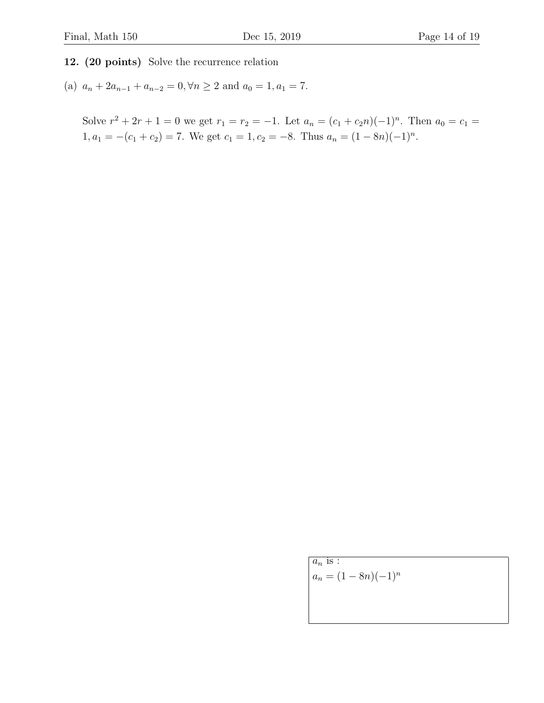12. (20 points) Solve the recurrence relation

(a)  $a_n + 2a_{n-1} + a_{n-2} = 0, \forall n \ge 2$  and  $a_0 = 1, a_1 = 7$ .

Solve  $r^2 + 2r + 1 = 0$  we get  $r_1 = r_2 = -1$ . Let  $a_n = (c_1 + c_2n)(-1)^n$ . Then  $a_0 = c_1 =$  $1, a_1 = -(c_1 + c_2) = 7.$  We get  $c_1 = 1, c_2 = -8.$  Thus  $a_n = (1 - 8n)(-1)^n$ .

 $a_n$  is :

 $a_n = (1 - 8n)(-1)^n$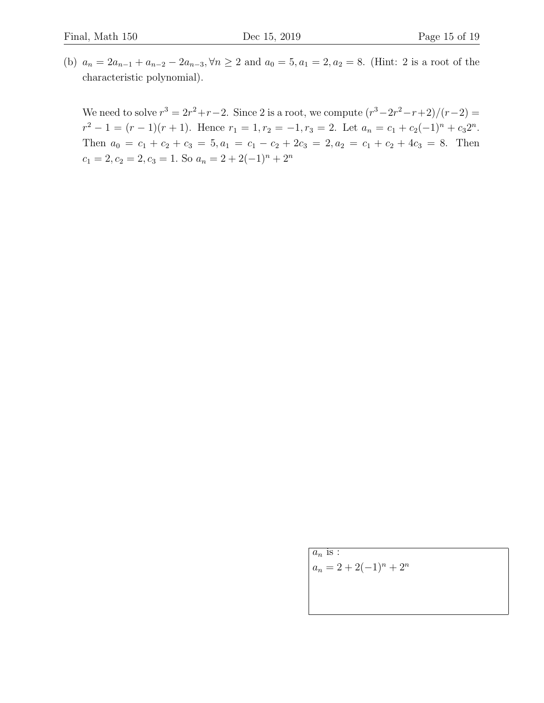(b)  $a_n = 2a_{n-1} + a_{n-2} - 2a_{n-3}$ ,  $\forall n \ge 2$  and  $a_0 = 5$ ,  $a_1 = 2$ ,  $a_2 = 8$ . (Hint: 2 is a root of the characteristic polynomial).

We need to solve  $r^3 = 2r^2 + r - 2$ . Since 2 is a root, we compute  $(r^3 - 2r^2 - r + 2)/(r - 2) =$  $r^2 - 1 = (r - 1)(r + 1)$ . Hence  $r_1 = 1, r_2 = -1, r_3 = 2$ . Let  $a_n = c_1 + c_2(-1)^n + c_32^n$ . Then  $a_0 = c_1 + c_2 + c_3 = 5, a_1 = c_1 - c_2 + 2c_3 = 2, a_2 = c_1 + c_2 + 4c_3 = 8$ . Then  $c_1 = 2, c_2 = 2, c_3 = 1$ . So  $a_n = 2 + 2(-1)^n + 2^n$ 

> $a_n$  is :  $a_n = 2 + 2(-1)^n + 2^n$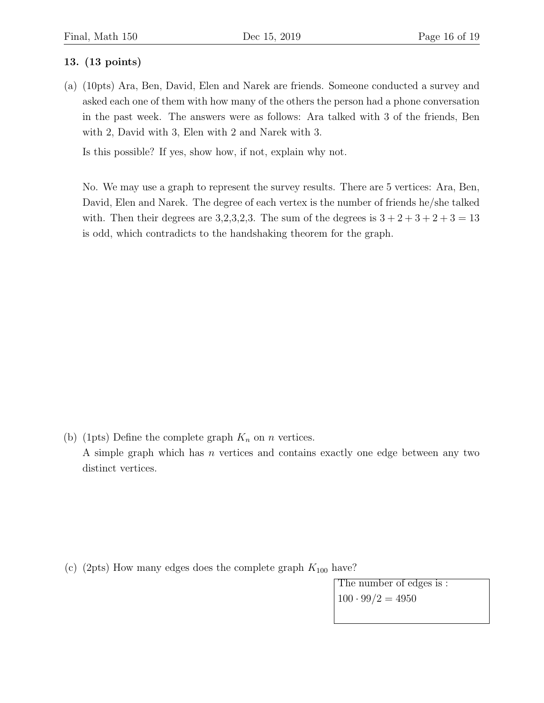#### 13. (13 points)

(a) (10pts) Ara, Ben, David, Elen and Narek are friends. Someone conducted a survey and asked each one of them with how many of the others the person had a phone conversation in the past week. The answers were as follows: Ara talked with 3 of the friends, Ben with 2, David with 3, Elen with 2 and Narek with 3.

Is this possible? If yes, show how, if not, explain why not.

No. We may use a graph to represent the survey results. There are 5 vertices: Ara, Ben, David, Elen and Narek. The degree of each vertex is the number of friends he/she talked with. Then their degrees are 3,2,3,2,3. The sum of the degrees is  $3+2+3+2+3=13$ is odd, which contradicts to the handshaking theorem for the graph.

(b) (1pts) Define the complete graph  $K_n$  on n vertices. A simple graph which has n vertices and contains exactly one edge between any two distinct vertices.

(c) (2pts) How many edges does the complete graph  $K_{100}$  have?

The number of edges is :  $100 \cdot 99/2 = 4950$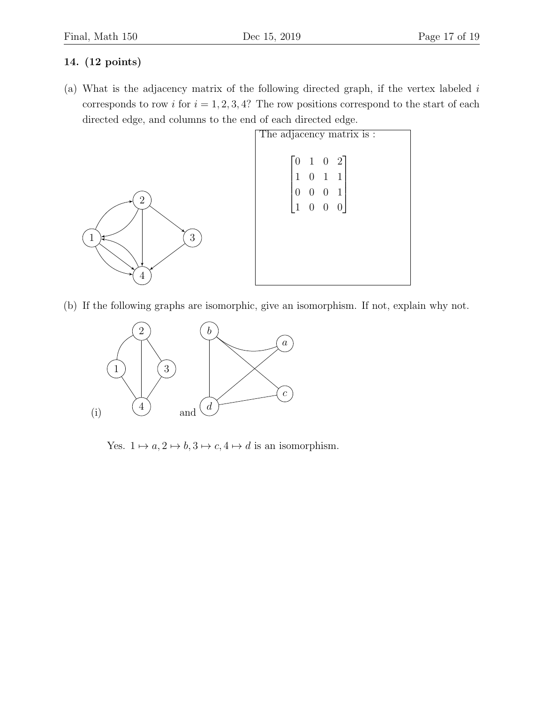## 14. (12 points)

(a) What is the adjacency matrix of the following directed graph, if the vertex labeled  $i$ corresponds to row i for  $i = 1, 2, 3, 4$ ? The row positions correspond to the start of each directed edge, and columns to the end of each directed edge.



(b) If the following graphs are isomorphic, give an isomorphism. If not, explain why not.



Yes.  $1 \mapsto a, 2 \mapsto b, 3 \mapsto c, 4 \mapsto d$  is an isomorphism.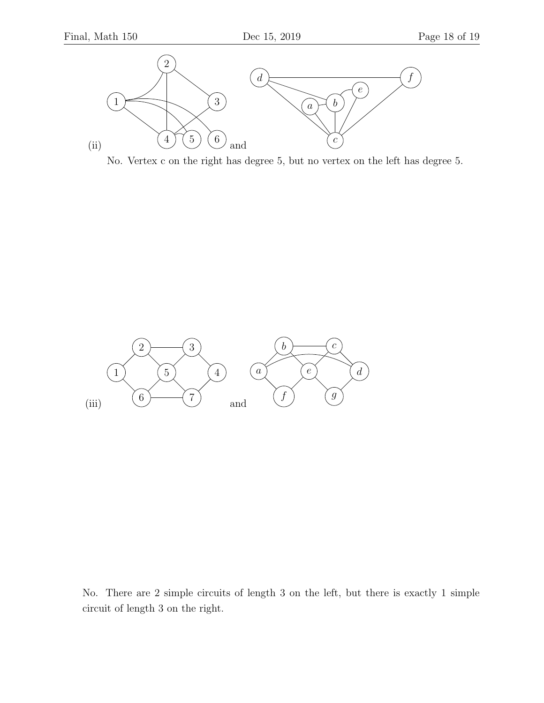

No. Vertex c on the right has degree 5, but no vertex on the left has degree 5.



No. There are 2 simple circuits of length 3 on the left, but there is exactly 1 simple circuit of length 3 on the right.